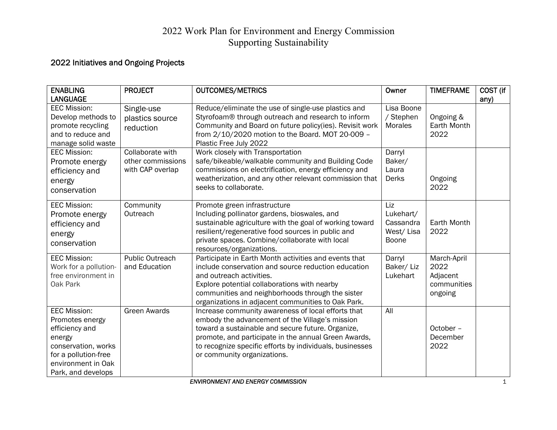## 2022 Work Plan for Environment and Energy Commission Supporting Sustainability

## 2022 Initiatives and Ongoing Projects

| <b>ENABLING</b><br><b>LANGUAGE</b>                                                                                                                            | <b>PROJECT</b>                                            | <b>OUTCOMES/METRICS</b>                                                                                                                                                                                                                                                                                       | Owner                                                      | <b>TIMEFRAME</b>                                          | COST (if<br>any) |
|---------------------------------------------------------------------------------------------------------------------------------------------------------------|-----------------------------------------------------------|---------------------------------------------------------------------------------------------------------------------------------------------------------------------------------------------------------------------------------------------------------------------------------------------------------------|------------------------------------------------------------|-----------------------------------------------------------|------------------|
| <b>EEC Mission:</b><br>Develop methods to<br>promote recycling<br>and to reduce and<br>manage solid waste                                                     | Single-use<br>plastics source<br>reduction                | Reduce/eliminate the use of single-use plastics and<br>Styrofoam® through outreach and research to inform<br>Community and Board on future policy(ies). Revisit work<br>from 2/10/2020 motion to the Board. MOT 20-009 -<br>Plastic Free July 2022                                                            | Lisa Boone<br>/ Stephen<br>Morales                         | Ongoing &<br>Earth Month<br>2022                          |                  |
| <b>EEC Mission:</b><br>Promote energy<br>efficiency and<br>energy<br>conservation                                                                             | Collaborate with<br>other commissions<br>with CAP overlap | Work closely with Transportation<br>safe/bikeable/walkable community and Building Code<br>commissions on electrification, energy efficiency and<br>weatherization, and any other relevant commission that<br>seeks to collaborate.                                                                            | Darryl<br>Baker/<br>Laura<br><b>Derks</b>                  | Ongoing<br>2022                                           |                  |
| <b>EEC Mission:</b><br>Promote energy<br>efficiency and<br>energy<br>conservation                                                                             | Community<br>Outreach                                     | Promote green infrastructure<br>Including pollinator gardens, bioswales, and<br>sustainable agriculture with the goal of working toward<br>resilient/regenerative food sources in public and<br>private spaces. Combine/collaborate with local<br>resources/organizations.                                    | Liz<br>Lukehart/<br>Cassandra<br>West/Lisa<br><b>Boone</b> | Earth Month<br>2022                                       |                  |
| <b>EEC Mission:</b><br>Work for a pollution-<br>free environment in<br>Oak Park                                                                               | <b>Public Outreach</b><br>and Education                   | Participate in Earth Month activities and events that<br>include conservation and source reduction education<br>and outreach activities.<br>Explore potential collaborations with nearby<br>communities and neighborhoods through the sister<br>organizations in adjacent communities to Oak Park.            | Darryl<br>Baker/ Liz<br>Lukehart                           | March-April<br>2022<br>Adjacent<br>communities<br>ongoing |                  |
| <b>EEC Mission:</b><br>Promotes energy<br>efficiency and<br>energy<br>conservation, works<br>for a pollution-free<br>environment in Oak<br>Park, and develops | <b>Green Awards</b>                                       | Increase community awareness of local efforts that<br>embody the advancement of the Village's mission<br>toward a sustainable and secure future. Organize,<br>promote, and participate in the annual Green Awards,<br>to recognize specific efforts by individuals, businesses<br>or community organizations. | All                                                        | October -<br>December<br>2022                             |                  |

**ENVIRONMENT AND ENERGY COMMISSION**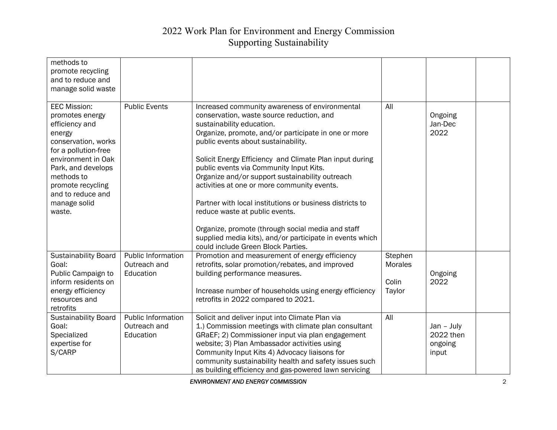## 2022 Work Plan for Environment and Energy Commission Supporting Sustainability

| methods to                               |                           |                                                          |         |              |  |
|------------------------------------------|---------------------------|----------------------------------------------------------|---------|--------------|--|
| promote recycling                        |                           |                                                          |         |              |  |
| and to reduce and                        |                           |                                                          |         |              |  |
| manage solid waste                       |                           |                                                          |         |              |  |
| <b>EEC Mission:</b>                      | <b>Public Events</b>      | Increased community awareness of environmental           | All     |              |  |
| promotes energy                          |                           | conservation, waste source reduction, and                |         | Ongoing      |  |
| efficiency and                           |                           | sustainability education.                                |         | Jan-Dec      |  |
| energy                                   |                           | Organize, promote, and/or participate in one or more     |         | 2022         |  |
| conservation, works                      |                           | public events about sustainability.                      |         |              |  |
| for a pollution-free                     |                           |                                                          |         |              |  |
| environment in Oak                       |                           | Solicit Energy Efficiency and Climate Plan input during  |         |              |  |
| Park, and develops                       |                           | public events via Community Input Kits.                  |         |              |  |
| methods to                               |                           | Organize and/or support sustainability outreach          |         |              |  |
| promote recycling                        |                           | activities at one or more community events.              |         |              |  |
| and to reduce and                        |                           |                                                          |         |              |  |
| manage solid                             |                           | Partner with local institutions or business districts to |         |              |  |
| waste.                                   |                           | reduce waste at public events.                           |         |              |  |
|                                          |                           |                                                          |         |              |  |
|                                          |                           | Organize, promote (through social media and staff        |         |              |  |
|                                          |                           | supplied media kits), and/or participate in events which |         |              |  |
|                                          |                           | could include Green Block Parties.                       |         |              |  |
| <b>Sustainability Board</b>              | <b>Public Information</b> | Promotion and measurement of energy efficiency           | Stephen |              |  |
| Goal:                                    | Outreach and              | retrofits, solar promotion/rebates, and improved         | Morales |              |  |
| Public Campaign to                       | Education                 | building performance measures.                           |         | Ongoing      |  |
| inform residents on                      |                           |                                                          | Colin   | 2022         |  |
| energy efficiency                        |                           | Increase number of households using energy efficiency    | Taylor  |              |  |
| resources and                            |                           | retrofits in 2022 compared to 2021.                      |         |              |  |
| retrofits<br><b>Sustainability Board</b> | Public Information        | Solicit and deliver input into Climate Plan via          | All     |              |  |
| Goal:                                    | Outreach and              | 1.) Commission meetings with climate plan consultant     |         | $Jan - July$ |  |
| Specialized                              | Education                 | GRaEF; 2) Commissioner input via plan engagement         |         | 2022 then    |  |
| expertise for                            |                           | website; 3) Plan Ambassador activities using             |         | ongoing      |  |
| S/CARP                                   |                           | Community Input Kits 4) Advocacy liaisons for            |         | input        |  |
|                                          |                           | community sustainability health and safety issues such   |         |              |  |
|                                          |                           | as building efficiency and gas-powered lawn servicing    |         |              |  |
|                                          |                           |                                                          |         |              |  |

*ENVIRONMENT AND ENERGY COMMISSION* 2